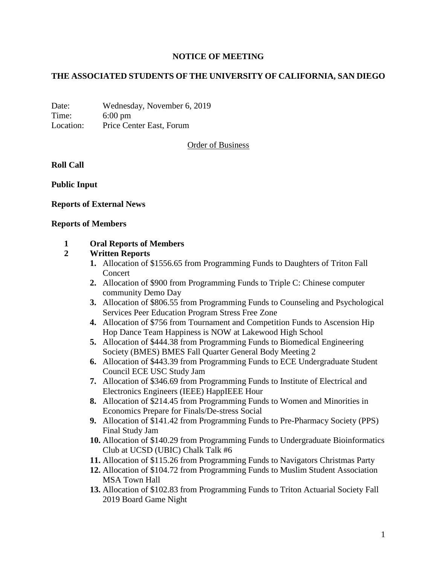## **NOTICE OF MEETING**

## **THE ASSOCIATED STUDENTS OF THE UNIVERSITY OF CALIFORNIA, SAN DIEGO**

Date: Wednesday, November 6, 2019 Time: 6:00 pm Location: Price Center East, Forum

Order of Business

### **Roll Call**

**Public Input**

### **Reports of External News**

#### **Reports of Members**

### **1 Oral Reports of Members**

### **2 Written Reports**

- **1.** Allocation of \$1556.65 from Programming Funds to Daughters of Triton Fall Concert
- **2.** Allocation of \$900 from Programming Funds to Triple C: Chinese computer community Demo Day
- **3.** Allocation of \$806.55 from Programming Funds to Counseling and Psychological Services Peer Education Program Stress Free Zone
- **4.** Allocation of \$756 from Tournament and Competition Funds to Ascension Hip Hop Dance Team Happiness is NOW at Lakewood High School
- **5.** Allocation of \$444.38 from Programming Funds to Biomedical Engineering Society (BMES) BMES Fall Quarter General Body Meeting 2
- **6.** Allocation of \$443.39 from Programming Funds to ECE Undergraduate Student Council ECE USC Study Jam
- **7.** Allocation of \$346.69 from Programming Funds to Institute of Electrical and Electronics Engineers (IEEE) HappIEEE Hour
- **8.** Allocation of \$214.45 from Programming Funds to Women and Minorities in Economics Prepare for Finals/De-stress Social
- **9.** Allocation of \$141.42 from Programming Funds to Pre-Pharmacy Society (PPS) Final Study Jam
- **10.** Allocation of \$140.29 from Programming Funds to Undergraduate Bioinformatics Club at UCSD (UBIC) Chalk Talk #6
- **11.** Allocation of \$115.26 from Programming Funds to Navigators Christmas Party
- **12.** Allocation of \$104.72 from Programming Funds to Muslim Student Association MSA Town Hall
- **13.** Allocation of \$102.83 from Programming Funds to Triton Actuarial Society Fall 2019 Board Game Night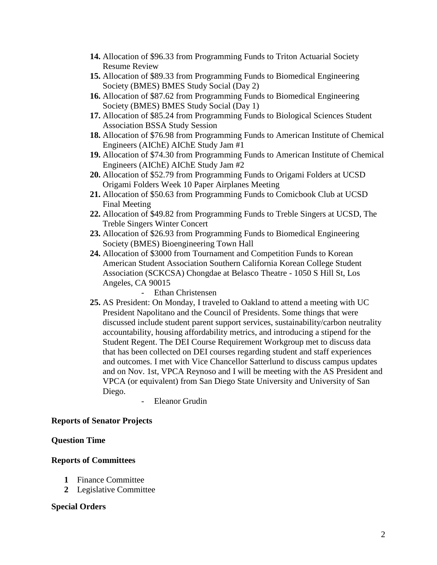- **14.** Allocation of \$96.33 from Programming Funds to Triton Actuarial Society Resume Review
- **15.** Allocation of \$89.33 from Programming Funds to Biomedical Engineering Society (BMES) BMES Study Social (Day 2)
- **16.** Allocation of \$87.62 from Programming Funds to Biomedical Engineering Society (BMES) BMES Study Social (Day 1)
- **17.** Allocation of \$85.24 from Programming Funds to Biological Sciences Student Association BSSA Study Session
- **18.** Allocation of \$76.98 from Programming Funds to American Institute of Chemical Engineers (AIChE) AIChE Study Jam #1
- **19.** Allocation of \$74.30 from Programming Funds to American Institute of Chemical Engineers (AIChE) AIChE Study Jam #2
- **20.** Allocation of \$52.79 from Programming Funds to Origami Folders at UCSD Origami Folders Week 10 Paper Airplanes Meeting
- **21.** Allocation of \$50.63 from Programming Funds to Comicbook Club at UCSD Final Meeting
- **22.** Allocation of \$49.82 from Programming Funds to Treble Singers at UCSD, The Treble Singers Winter Concert
- **23.** Allocation of \$26.93 from Programming Funds to Biomedical Engineering Society (BMES) Bioengineering Town Hall
- **24.** Allocation of \$3000 from Tournament and Competition Funds to Korean American Student Association Southern California Korean College Student Association (SCKCSA) Chongdae at Belasco Theatre - 1050 S Hill St, Los Angeles, CA 90015

### Ethan Christensen

- **25.** AS President: On Monday, I traveled to Oakland to attend a meeting with UC President Napolitano and the Council of Presidents. Some things that were discussed include student parent support services, sustainability/carbon neutrality accountability, housing affordability metrics, and introducing a stipend for the Student Regent. The DEI Course Requirement Workgroup met to discuss data that has been collected on DEI courses regarding student and staff experiences and outcomes. I met with Vice Chancellor Satterlund to discuss campus updates and on Nov. 1st, VPCA Reynoso and I will be meeting with the AS President and VPCA (or equivalent) from San Diego State University and University of San Diego.
	- Eleanor Grudin

### **Reports of Senator Projects**

### **Question Time**

### **Reports of Committees**

- **1** Finance Committee
- **2** Legislative Committee

### **Special Orders**